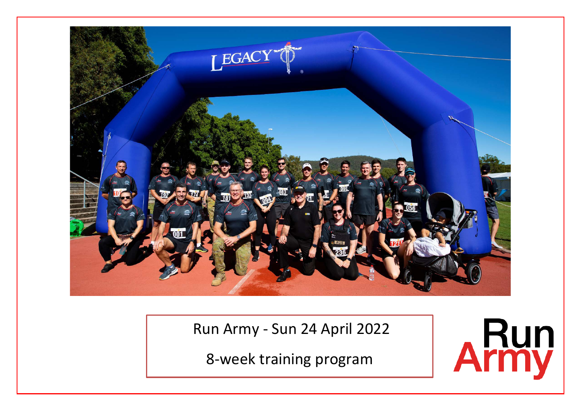

Run Army - Sun 24 April 2022

8-week training program

L

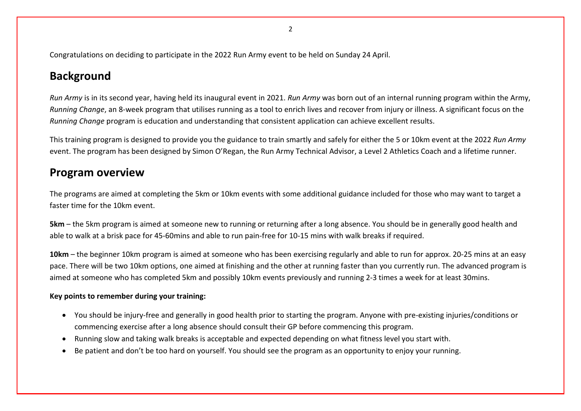Congratulations on deciding to participate in the 2022 Run Army event to be held on Sunday 24 April.

# **Background**

*Run Army* is in its second year, having held its inaugural event in 2021. *Run Army* was born out of an internal running program within the Army, *Running Change*, an 8-week program that utilises running as a tool to enrich lives and recover from injury or illness. A significant focus on the *Running Change* program is education and understanding that consistent application can achieve excellent results.

This training program is designed to provide you the guidance to train smartly and safely for either the 5 or 10km event at the 2022 *Run Army* event. The program has been designed by Simon O'Regan, the Run Army Technical Advisor, a Level 2 Athletics Coach and a lifetime runner.

## **Program overview**

The programs are aimed at completing the 5km or 10km events with some additional guidance included for those who may want to target a faster time for the 10km event.

**5km** – the 5km program is aimed at someone new to running or returning after a long absence. You should be in generally good health and able to walk at a brisk pace for 45-60mins and able to run pain-free for 10-15 mins with walk breaks if required.

**10km** – the beginner 10km program is aimed at someone who has been exercising regularly and able to run for approx. 20-25 mins at an easy pace. There will be two 10km options, one aimed at finishing and the other at running faster than you currently run. The advanced program is aimed at someone who has completed 5km and possibly 10km events previously and running 2-3 times a week for at least 30mins.

## **Key points to remember during your training:**

- You should be injury-free and generally in good health prior to starting the program. Anyone with pre-existing injuries/conditions or commencing exercise after a long absence should consult their GP before commencing this program.
- Running slow and taking walk breaks is acceptable and expected depending on what fitness level you start with.
- Be patient and don't be too hard on yourself. You should see the program as an opportunity to enjoy your running.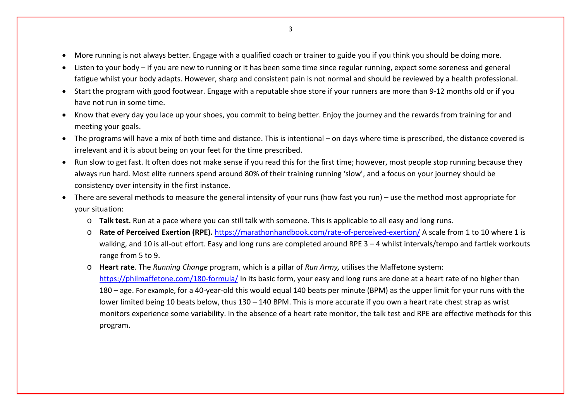- More running is not always better. Engage with a qualified coach or trainer to guide you if you think you should be doing more.
- Listen to your body if you are new to running or it has been some time since regular running, expect some soreness and general fatigue whilst your body adapts. However, sharp and consistent pain is not normal and should be reviewed by a health professional.
- Start the program with good footwear. Engage with a reputable shoe store if your runners are more than 9-12 months old or if you have not run in some time.
- Know that every day you lace up your shoes, you commit to being better. Enjoy the journey and the rewards from training for and meeting your goals.
- The programs will have a mix of both time and distance. This is intentional on days where time is prescribed, the distance covered is irrelevant and it is about being on your feet for the time prescribed.
- Run slow to get fast. It often does not make sense if you read this for the first time; however, most people stop running because they always run hard. Most elite runners spend around 80% of their training running 'slow', and a focus on your journey should be consistency over intensity in the first instance.
- There are several methods to measure the general intensity of your runs (how fast you run) use the method most appropriate for your situation:
	- o **Talk test.** Run at a pace where you can still talk with someone. This is applicable to all easy and long runs.
	- o **Rate of Perceived Exertion (RPE).** <https://marathonhandbook.com/rate-of-perceived-exertion/> A scale from 1 to 10 where 1 is walking, and 10 is all-out effort. Easy and long runs are completed around RPE 3 – 4 whilst intervals/tempo and fartlek workouts range from 5 to 9.
	- o **Heart rate**. The *Running Change* program, which is a pillar of *Run Army,* utilises the Maffetone system: <https://philmaffetone.com/180-formula/> In its basic form, your easy and long runs are done at a heart rate of no higher than 180 – age. For example, for a 40-year-old this would equal 140 beats per minute (BPM) as the upper limit for your runs with the lower limited being 10 beats below, thus 130 – 140 BPM. This is more accurate if you own a heart rate chest strap as wrist monitors experience some variability. In the absence of a heart rate monitor, the talk test and RPE are effective methods for this program.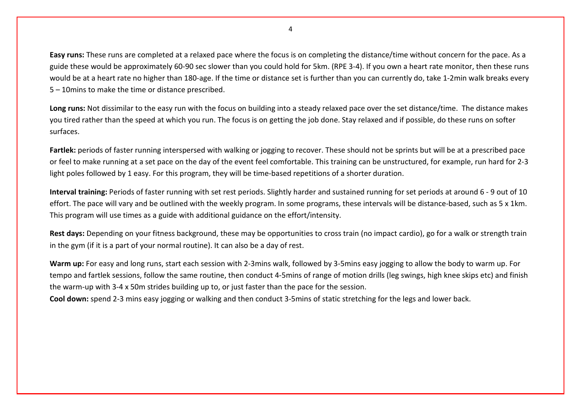**Easy runs:** These runs are completed at a relaxed pace where the focus is on completing the distance/time without concern for the pace. As a guide these would be approximately 60-90 sec slower than you could hold for 5km. (RPE 3-4). If you own a heart rate monitor, then these runs would be at a heart rate no higher than 180-age. If the time or distance set is further than you can currently do, take 1-2min walk breaks every 5 – 10mins to make the time or distance prescribed.

**Long runs:** Not dissimilar to the easy run with the focus on building into a steady relaxed pace over the set distance/time. The distance makes you tired rather than the speed at which you run. The focus is on getting the job done. Stay relaxed and if possible, do these runs on softer surfaces.

Fartlek: periods of faster running interspersed with walking or jogging to recover. These should not be sprints but will be at a prescribed pace or feel to make running at a set pace on the day of the event feel comfortable. This training can be unstructured, for example, run hard for 2-3 light poles followed by 1 easy. For this program, they will be time-based repetitions of a shorter duration.

**Interval training:** Periods of faster running with set rest periods. Slightly harder and sustained running for set periods at around 6 - 9 out of 10 effort. The pace will vary and be outlined with the weekly program. In some programs, these intervals will be distance-based, such as 5 x 1km. This program will use times as a guide with additional guidance on the effort/intensity.

**Rest days:** Depending on your fitness background, these may be opportunities to cross train (no impact cardio), go for a walk or strength train in the gym (if it is a part of your normal routine). It can also be a day of rest.

**Warm up:** For easy and long runs, start each session with 2-3mins walk, followed by 3-5mins easy jogging to allow the body to warm up. For tempo and fartlek sessions, follow the same routine, then conduct 4-5mins of range of motion drills (leg swings, high knee skips etc) and finish the warm-up with 3-4 x 50m strides building up to, or just faster than the pace for the session.

**Cool down:** spend 2-3 mins easy jogging or walking and then conduct 3-5mins of static stretching for the legs and lower back.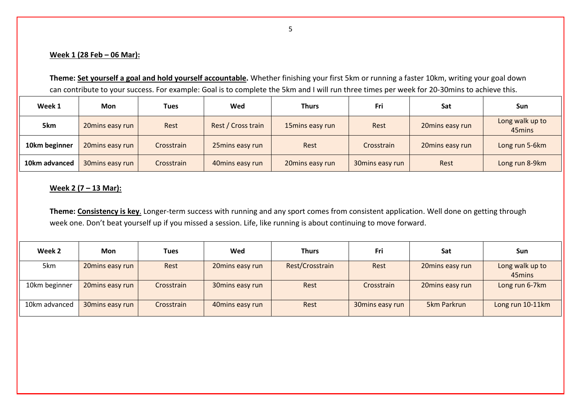## **Week 1 (28 Feb – 06 Mar):**

**Theme: Set yourself a goal and hold yourself accountable.** Whether finishing your first 5km or running a faster 10km, writing your goal down can contribute to your success. For example: Goal is to complete the 5km and I will run three times per week for 20-30mins to achieve this.

| Week 1        | Mon             | <b>Tues</b> | Wed                | <b>Thurs</b>    | Fri             | Sat             | Sun                       |
|---------------|-----------------|-------------|--------------------|-----------------|-----------------|-----------------|---------------------------|
| 5km           | 20mins easy run | Rest        | Rest / Cross train | 15mins easy run | Rest            | 20mins easy run | Long walk up to<br>45mins |
| 10km beginner | 20mins easy run | Crosstrain  | 25mins easy run    | Rest            | Crosstrain      | 20mins easy run | Long run 5-6km            |
| 10km advanced | 30mins easy run | Crosstrain  | 40mins easy run    | 20mins easy run | 30mins easy run | Rest            | Long run 8-9km            |

## **Week 2 (7 – 13 Mar):**

**Theme: Consistency is key**. Longer-term success with running and any sport comes from consistent application. Well done on getting through week one. Don't beat yourself up if you missed a session. Life, like running is about continuing to move forward.

| Week 2        | Mon             | <b>Tues</b> | Wed             | <b>Thurs</b>    | Fri             | Sat             | <b>Sun</b>                |
|---------------|-----------------|-------------|-----------------|-----------------|-----------------|-----------------|---------------------------|
| 5km           | 20mins easy run | Rest        | 20mins easy run | Rest/Crosstrain | Rest            | 20mins easy run | Long walk up to<br>45mins |
| 10km beginner | 20mins easy run | Crosstrain  | 30mins easy run | Rest            | Crosstrain      | 20mins easy run | Long run 6-7km            |
| 10km advanced | 30mins easy run | Crosstrain  | 40mins easy run | Rest            | 30mins easy run | 5km Parkrun     | Long run 10-11km          |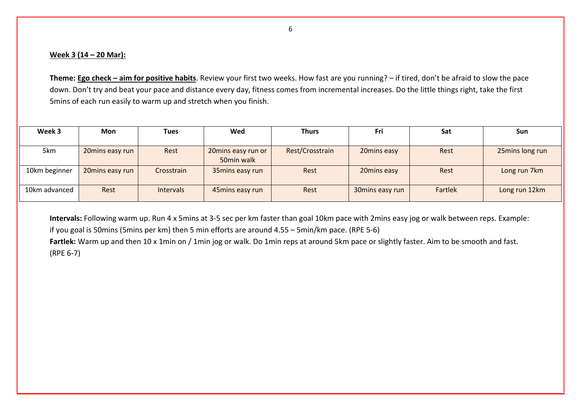#### **Week 3 (14 – 20 Mar):**

**Theme: Ego check – aim for positive habits**. Review your first two weeks. How fast are you running? – if tired, don't be afraid to slow the pace down. Don't try and beat your pace and distance every day, fitness comes from incremental increases. Do the little things right, take the first 5mins of each run easily to warm up and stretch when you finish.

| Week 3        | Mon             | <b>Tues</b>      | Wed                | <b>Thurs</b>    | Fri             | Sat     | <b>Sun</b>      |
|---------------|-----------------|------------------|--------------------|-----------------|-----------------|---------|-----------------|
|               |                 |                  |                    |                 |                 |         |                 |
| 5km           | 20mins easy run | Rest             | 20mins easy run or | Rest/Crosstrain | 20mins easy     | Rest    | 25mins long run |
|               |                 |                  | 50min walk         |                 |                 |         |                 |
| 10km beginner | 20mins easy run | Crosstrain       | 35mins easy run    | Rest            | 20mins easy     | Rest    | Long run 7km    |
|               |                 |                  |                    |                 |                 |         |                 |
| 10km advanced | Rest            | <b>Intervals</b> | 45mins easy run    | Rest            | 30mins easy run | Fartlek | Long run 12km   |
|               |                 |                  |                    |                 |                 |         |                 |

**Intervals:** Following warm up. Run 4 x 5mins at 3-5 sec per km faster than goal 10km pace with 2mins easy jog or walk between reps. Example: if you goal is 50mins (5mins per km) then 5 min efforts are around 4.55 – 5min/km pace. (RPE 5-6)

**Fartlek:** Warm up and then 10 x 1min on / 1min jog or walk. Do 1min reps at around 5km pace or slightly faster. Aim to be smooth and fast. (RPE 6-7)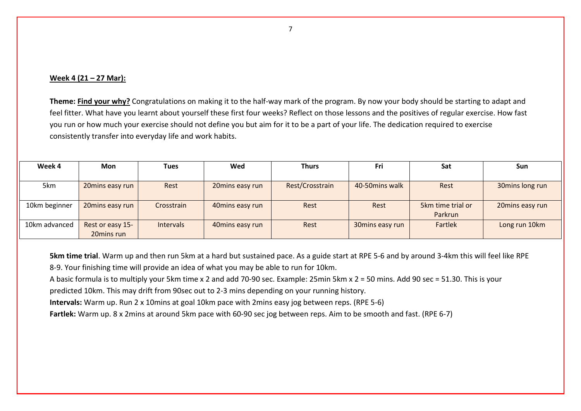#### **Week 4 (21 – 27 Mar):**

**Theme: Find your why?** Congratulations on making it to the half-way mark of the program. By now your body should be starting to adapt and feel fitter. What have you learnt about yourself these first four weeks? Reflect on those lessons and the positives of regular exercise. How fast you run or how much your exercise should not define you but aim for it to be a part of your life. The dedication required to exercise consistently transfer into everyday life and work habits.

| Week 4        | Mon              | <b>Tues</b>      | Wed             | <b>Thurs</b>    | Fri             | Sat               | Sun             |
|---------------|------------------|------------------|-----------------|-----------------|-----------------|-------------------|-----------------|
|               |                  |                  |                 |                 |                 |                   |                 |
| 5km           | 20mins easy run  | Rest             | 20mins easy run | Rest/Crosstrain | 40-50 mins walk | Rest              | 30mins long run |
|               |                  |                  |                 |                 |                 |                   |                 |
| 10km beginner | 20mins easy run  | Crosstrain       | 40mins easy run | Rest            | Rest            | 5km time trial or | 20mins easy run |
|               |                  |                  |                 |                 |                 | Parkrun           |                 |
| 10km advanced | Rest or easy 15- | <b>Intervals</b> | 40mins easy run | Rest            | 30mins easy run | Fartlek           | Long run 10km   |
|               | 20mins run       |                  |                 |                 |                 |                   |                 |

**5km time trial**. Warm up and then run 5km at a hard but sustained pace. As a guide start at RPE 5-6 and by around 3-4km this will feel like RPE 8-9. Your finishing time will provide an idea of what you may be able to run for 10km.

A basic formula is to multiply your 5km time x 2 and add 70-90 sec. Example: 25min 5km x 2 = 50 mins. Add 90 sec = 51.30. This is your

predicted 10km. This may drift from 90sec out to 2-3 mins depending on your running history.

**Intervals:** Warm up. Run 2 x 10mins at goal 10km pace with 2mins easy jog between reps. (RPE 5-6)

**Fartlek:** Warm up. 8 x 2mins at around 5km pace with 60-90 sec jog between reps. Aim to be smooth and fast. (RPE 6-7)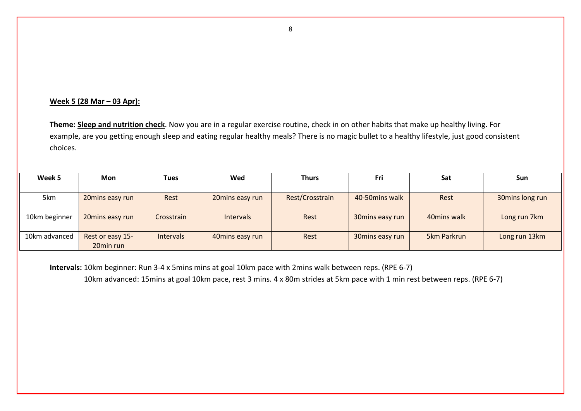### **Week 5 (28 Mar – 03 Apr):**

**Theme: Sleep and nutrition check**. Now you are in a regular exercise routine, check in on other habits that make up healthy living. For example, are you getting enough sleep and eating regular healthy meals? There is no magic bullet to a healthy lifestyle, just good consistent choices.

| Week 5        | <b>Mon</b>       | Tues             | Wed              | <b>Thurs</b>    | Fri              | Sat          | Sun             |
|---------------|------------------|------------------|------------------|-----------------|------------------|--------------|-----------------|
|               |                  |                  |                  |                 |                  |              |                 |
| 5km           | 20mins easy run  | Rest             | 20mins easy run  | Rest/Crosstrain | 40-50 mins walk  | Rest         | 30mins long run |
|               |                  |                  |                  |                 |                  |              |                 |
| 10km beginner | 20mins easy run  | Crosstrain       | <b>Intervals</b> | Rest            | 30 mins easy run | 40 mins walk | Long run 7km    |
|               |                  |                  |                  |                 |                  |              |                 |
| 10km advanced | Rest or easy 15- | <b>Intervals</b> | 40mins easy run  | Rest            | 30 mins easy run | 5km Parkrun  | Long run 13km   |
|               | 20min run        |                  |                  |                 |                  |              |                 |

**Intervals:** 10km beginner: Run 3-4 x 5mins mins at goal 10km pace with 2mins walk between reps. (RPE 6-7) 10km advanced: 15mins at goal 10km pace, rest 3 mins. 4 x 80m strides at 5km pace with 1 min rest between reps. (RPE 6-7)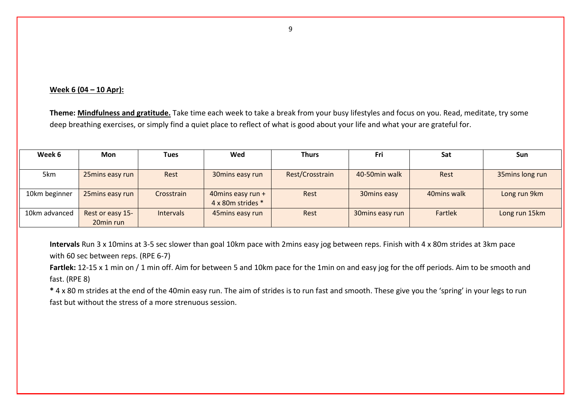#### **Week 6 (04 – 10 Apr):**

**Theme: Mindfulness and gratitude.** Take time each week to take a break from your busy lifestyles and focus on you. Read, meditate, try some deep breathing exercises, or simply find a quiet place to reflect of what is good about your life and what your are grateful for.

| Week 6        | Mon              | Tues             | Wed               | <b>Thurs</b>    | Fri             | Sat          | Sun             |
|---------------|------------------|------------------|-------------------|-----------------|-----------------|--------------|-----------------|
|               |                  |                  |                   |                 |                 |              |                 |
| 5km           | 25mins easy run  | Rest             | 30mins easy run   | Rest/Crosstrain | 40-50min walk   | Rest         | 35mins long run |
|               |                  |                  |                   |                 |                 |              |                 |
| 10km beginner | 25mins easy run  | Crosstrain       | 40mins easy run + | Rest            | 30mins easy     | 40 mins walk | Long run 9km    |
|               |                  |                  | 4 x 80m strides * |                 |                 |              |                 |
| 10km advanced | Rest or easy 15- | <b>Intervals</b> | 45mins easy run   | Rest            | 30mins easy run | Fartlek      | Long run 15km   |
|               | 20min run        |                  |                   |                 |                 |              |                 |

**Intervals** Run 3 x 10mins at 3-5 sec slower than goal 10km pace with 2mins easy jog between reps. Finish with 4 x 80m strides at 3km pace with 60 sec between reps. (RPE 6-7)

Fartlek: 12-15 x 1 min on / 1 min off. Aim for between 5 and 10km pace for the 1min on and easy jog for the off periods. Aim to be smooth and fast. (RPE 8)

**\*** 4 x 80 m strides at the end of the 40min easy run. The aim of strides is to run fast and smooth. These give you the 'spring' in your legs to run fast but without the stress of a more strenuous session.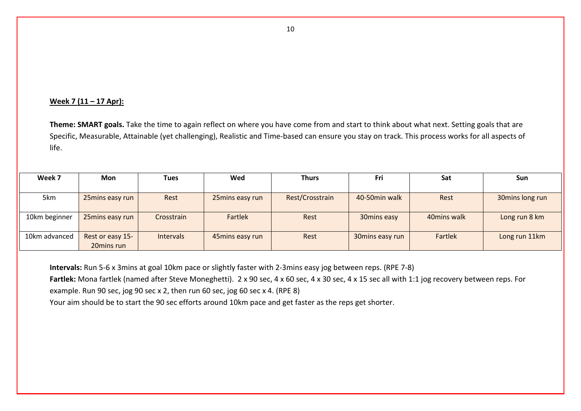#### **Week 7 (11 – 17 Apr):**

**Theme: SMART goals.** Take the time to again reflect on where you have come from and start to think about what next. Setting goals that are Specific, Measurable, Attainable (yet challenging), Realistic and Time-based can ensure you stay on track. This process works for all aspects of life.

| Week 7        | <b>Mon</b>       | <b>Tues</b>      | Wed             | <b>Thurs</b>    | Fri             | Sat          | Sun             |
|---------------|------------------|------------------|-----------------|-----------------|-----------------|--------------|-----------------|
|               |                  |                  |                 |                 |                 |              |                 |
| 5km           | 25mins easy run  | Rest             | 25mins easy run | Rest/Crosstrain | 40-50min walk   | Rest         | 30mins long run |
|               |                  |                  |                 |                 |                 |              |                 |
| 10km beginner | 25mins easy run  | Crosstrain       | Fartlek         | Rest            | 30mins easy     | 40 mins walk | Long run 8 km   |
|               |                  |                  |                 |                 |                 |              |                 |
| 10km advanced | Rest or easy 15- | <b>Intervals</b> | 45mins easy run | Rest            | 30mins easy run | Fartlek      | Long run 11km   |
|               | 20mins run       |                  |                 |                 |                 |              |                 |

**Intervals:** Run 5-6 x 3mins at goal 10km pace or slightly faster with 2-3mins easy jog between reps. (RPE 7-8) **Fartlek:** Mona fartlek (named after Steve Moneghetti). 2 x 90 sec, 4 x 60 sec, 4 x 30 sec, 4 x 15 sec all with 1:1 jog recovery between reps. For example. Run 90 sec, jog 90 sec x 2, then run 60 sec, jog 60 sec x 4. (RPE 8) Your aim should be to start the 90 sec efforts around 10km pace and get faster as the reps get shorter.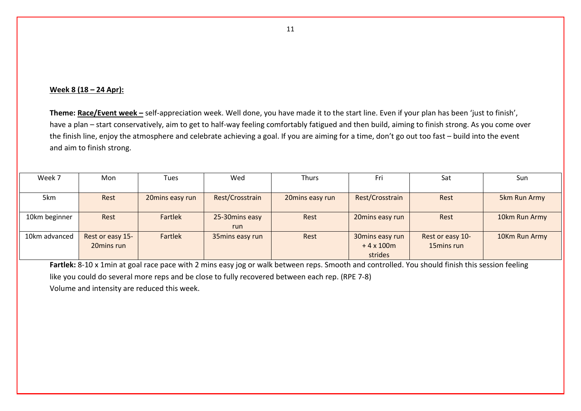#### **Week 8 (18 – 24 Apr):**

**Theme: Race/Event week –** self-appreciation week. Well done, you have made it to the start line. Even if your plan has been 'just to finish', have a plan – start conservatively, aim to get to half-way feeling comfortably fatigued and then build, aiming to finish strong. As you come over the finish line, enjoy the atmosphere and celebrate achieving a goal. If you are aiming for a time, don't go out too fast – build into the event and aim to finish strong.

| Week 7        | Mon              | Tues            | Wed             | <b>Thurs</b>    | Fri             | Sat              | Sun           |
|---------------|------------------|-----------------|-----------------|-----------------|-----------------|------------------|---------------|
|               |                  |                 |                 |                 |                 |                  |               |
| 5km           | Rest             | 20mins easy run | Rest/Crosstrain | 20mins easy run | Rest/Crosstrain | Rest             | 5km Run Army  |
|               |                  |                 |                 |                 |                 |                  |               |
| 10km beginner | Rest             | Fartlek         | 25-30 mins easy | Rest            | 20mins easy run | Rest             | 10km Run Army |
|               |                  |                 | run.            |                 |                 |                  |               |
| 10km advanced | Rest or easy 15- | Fartlek         | 35mins easy run | Rest            | 30mins easy run | Rest or easy 10- | 10Km Run Army |
|               | 20mins run       |                 |                 |                 | $+4x100m$       | 15mins run       |               |
|               |                  |                 |                 |                 | strides         |                  |               |

**Fartlek:** 8-10 x 1min at goal race pace with 2 mins easy jog or walk between reps. Smooth and controlled. You should finish this session feeling like you could do several more reps and be close to fully recovered between each rep. (RPE 7-8) Volume and intensity are reduced this week.